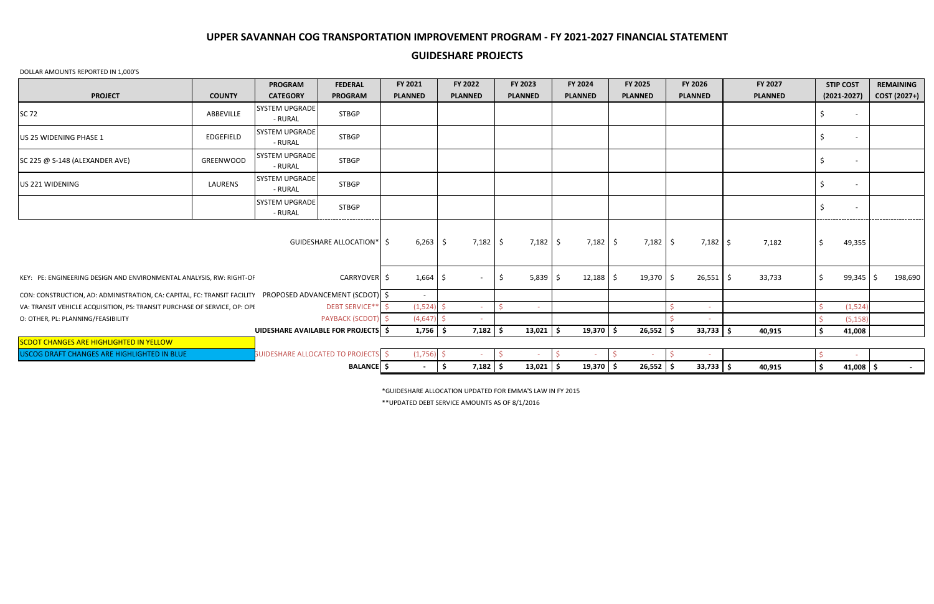## DOLLAR AMOUNTS REPORTED IN 1,000'S

\*GUIDESHARE ALLOCATION UPDATED FOR EMMA'S LAW IN FY 2015

|                                                                                                            |                  | <b>PROGRAM</b>                             | <b>FEDERAL</b>              | FY 2021        | FY 2022           | <b>FY 2023</b> | <b>FY 2024</b>     | FY 2025        | FY 2026        | FY 2027        | <b>STIP COST</b>         | <b>REMAINING</b> |
|------------------------------------------------------------------------------------------------------------|------------------|--------------------------------------------|-----------------------------|----------------|-------------------|----------------|--------------------|----------------|----------------|----------------|--------------------------|------------------|
| <b>PROJECT</b>                                                                                             | <b>COUNTY</b>    | <b>CATEGORY</b>                            | <b>PROGRAM</b>              | <b>PLANNED</b> | <b>PLANNED</b>    | <b>PLANNED</b> | <b>PLANNED</b>     | <b>PLANNED</b> | <b>PLANNED</b> | <b>PLANNED</b> | $(2021 - 2027)$          | COST (2027+)     |
| <b>SC 72</b>                                                                                               | ABBEVILLE        | SYSTEM UPGRADE<br>- RURAL                  | <b>STBGP</b>                |                |                   |                |                    |                |                |                |                          |                  |
| US 25 WIDENING PHASE 1                                                                                     | EDGEFIELD        | SYSTEM UPGRADE<br>- RURAL                  | <b>STBGP</b>                |                |                   |                |                    |                |                |                |                          |                  |
| SC 225 @ S-148 (ALEXANDER AVE)                                                                             | <b>GREENWOOD</b> | SYSTEM UPGRADE<br>- RURAL                  | <b>STBGP</b>                |                |                   |                |                    |                |                |                |                          |                  |
| US 221 WIDENING                                                                                            | LAURENS          | SYSTEM UPGRADE<br>- RURAL                  | <b>STBGP</b>                |                |                   |                |                    |                |                |                |                          |                  |
|                                                                                                            |                  | SYSTEM UPGRADE<br>- RURAL                  | <b>STBGP</b>                |                |                   |                |                    |                |                |                | $\overline{\phantom{a}}$ |                  |
|                                                                                                            |                  |                                            | GUIDESHARE ALLOCATION*   \$ | $6,263$ \$     | $7,182$ \$        | 7,182          | $7,182$ \$<br>- \$ | $7,182$ \$     | $7,182$ \$     | 7,182          | 49,355<br>Ś              |                  |
| KEY: PE: ENGINEERING DESIGN AND ENVIRONMENTAL ANALYSIS, RW: RIGHT-OF                                       |                  |                                            | CARRYOVER <sup>S</sup>      | 1,664          | $\sim$            | 5,839<br>\$    | $12,188$ \$<br>-S  | $19,370$ \$    | $26,551$   \$  | 33,733         | $99,345$ \$              | 198,690          |
| CON: CONSTRUCTION, AD: ADMINISTRATION, CA: CAPITAL, FC: TRANSIT FACILITY PROPOSED ADVANCEMENT (SCDOT)   \$ |                  |                                            |                             | $\sim$         |                   |                |                    |                |                |                |                          |                  |
| VA: TRANSIT VEHICLE ACQUISITION, PS: TRANSIT PURCHASE OF SERVICE, OP: OPI                                  |                  |                                            | DEBT SERVICE** \$           | (1,524)        | $\sim$            |                |                    |                |                |                | (1,524)                  |                  |
| O: OTHER, PL: PLANNING/FEASIBILITY                                                                         |                  |                                            | PAYBACK (SCDOT) \$          | (4, 647)       | $\sim$            |                |                    |                |                |                | (5, 158)                 |                  |
|                                                                                                            |                  | UIDESHARE AVAILABLE FOR PROJECTS \$        |                             | $1,756$ \$     | $7,182$ \$        | 13,021         | $19,370$ \$<br>\$  | $26,552$ \$    | $33,733$ \$    | 40,915         | \$<br>41,008             |                  |
| <b>SCDOT CHANGES ARE HIGHLIGHTED IN YELLOW</b>                                                             |                  |                                            |                             |                |                   |                |                    |                |                |                |                          |                  |
| USCOG DRAFT CHANGES ARE HIGHLIGHTED IN BLUE                                                                |                  | <b>GUIDESHARE ALLOCATED TO PROJECTS \$</b> |                             | $(1,756)$ \$   |                   |                |                    | $\sim$         |                |                | -Ś                       |                  |
|                                                                                                            |                  |                                            | <b>BALANCE \$</b>           | $\sim$         | $7,182$ \$<br>-\$ | $13,021$ \$    | $19,370$ \$        | $26,552$   \$  | $33,733$ \$    | 40,915         | \$<br>$41,008$ \$        | $\sim$ 10 $\sim$ |

\*\*UPDATED DEBT SERVICE AMOUNTS AS OF 8/1/2016

## **GUIDESHARE PROJECTS**

# **UPPER SAVANNAH COG TRANSPORTATION IMPROVEMENT PROGRAM - FY 2021-2027 FINANCIAL STATEMENT**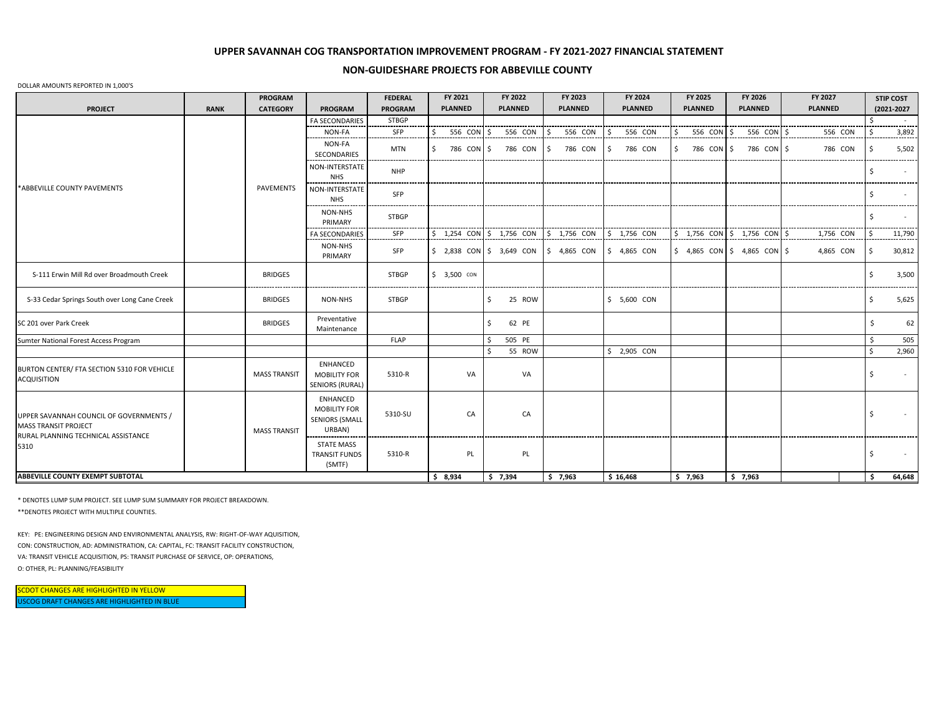#### **NON-GUIDESHARE PROJECTS FOR ABBEVILLE COUNTY**

#### DOLLAR AMOUNTS REPORTED IN 1,000'S

|                                                                                                                       |             | <b>PROGRAM</b>      |                                                                           | <b>FEDERAL</b> | FY 2021        | FY 2022                   | FY 2023        | FY 2024        | FY 2025                       | FY 2026                   | FY 2027        |    | <b>STIP COST</b> |
|-----------------------------------------------------------------------------------------------------------------------|-------------|---------------------|---------------------------------------------------------------------------|----------------|----------------|---------------------------|----------------|----------------|-------------------------------|---------------------------|----------------|----|------------------|
| <b>PROJECT</b>                                                                                                        | <b>RANK</b> | <b>CATEGORY</b>     | <b>PROGRAM</b>                                                            | <b>PROGRAM</b> | <b>PLANNED</b> | <b>PLANNED</b>            | <b>PLANNED</b> | <b>PLANNED</b> | <b>PLANNED</b>                | <b>PLANNED</b>            | <b>PLANNED</b> |    | (2021-2027       |
|                                                                                                                       |             |                     | <b>FA SECONDARIES</b>                                                     | <b>STBGP</b>   |                |                           |                |                |                               |                           |                |    |                  |
|                                                                                                                       |             |                     | NON-FA                                                                    | SFP            | 556 CON \$     | 556 CON                   | 556 CON        | 556 CON        | 556 CON \$                    | 556 CON \$                | 556 CON        |    | 3,892            |
| *ABBEVILLE COUNTY PAVEMENTS                                                                                           |             |                     | NON-FA<br>SECONDARIES                                                     | <b>MTN</b>     | 786 CON \$     | 786 CON                   | 786 CON<br>-S  | 786 CON<br>-S  | 786 CON \$                    | 786 CON \$                | 786 CON        | S  | 5,502            |
|                                                                                                                       |             |                     | NON-INTERSTATE<br><b>NHS</b>                                              | <b>NHP</b>     |                |                           |                |                |                               |                           |                |    |                  |
|                                                                                                                       |             | PAVEMENTS           | NON-INTERSTATE<br><b>NHS</b>                                              | SFP            |                |                           |                |                |                               |                           |                |    |                  |
|                                                                                                                       |             |                     | NON-NHS<br>PRIMARY                                                        | <b>STBGP</b>   |                |                           |                |                |                               |                           |                |    | --------         |
|                                                                                                                       |             |                     | <b>FA SECONDARIES</b>                                                     | SFP            |                | 1,254 CON \$ 1,756 CON    | $$1,756$ CON   | $$1,756$ CON   |                               | 1,756 CON \$ 1,756 CON \$ | 1,756 CON      |    | 11,790           |
|                                                                                                                       |             |                     | NON-NHS<br>PRIMARY                                                        | SFP            |                | \$ 2,838 CON \$ 3,649 CON | $$4,865$ CON   | $$4,865$ CON   | $$4,865$ CON $$4,865$ CON $$$ |                           | 4,865 CON      | Ŝ. | 30,812           |
| S-111 Erwin Mill Rd over Broadmouth Creek                                                                             |             | <b>BRIDGES</b>      |                                                                           | <b>STBGP</b>   | $$3,500$ CON   |                           |                |                |                               |                           |                |    | 3,500            |
| S-33 Cedar Springs South over Long Cane Creek                                                                         |             | <b>BRIDGES</b>      | NON-NHS                                                                   | STBGP          |                | 25 ROW<br>Ŝ               |                | $$5,600$ CON   |                               |                           |                | Ś  | 5,625            |
| SC 201 over Park Creek                                                                                                |             | <b>BRIDGES</b>      | Preventative<br>Maintenance                                               |                |                | Ŝ.<br>62 PE               |                |                |                               |                           |                | Ś. | 62               |
| Sumter National Forest Access Program                                                                                 |             |                     |                                                                           | <b>FLAP</b>    |                | 505 PE<br>Ŝ.              |                |                |                               |                           |                |    | 505              |
|                                                                                                                       |             |                     |                                                                           |                |                | 55 ROW                    |                | $$2,905$ CON   |                               |                           |                | \$ | 2,960            |
| BURTON CENTER/ FTA SECTION 5310 FOR VEHICLE<br><b>ACQUISITION</b>                                                     |             | <b>MASS TRANSIT</b> | <b>ENHANCED</b><br><b>MOBILITY FOR</b><br><b>SENIORS (RURAL)</b>          | 5310-R         | VA             | VA                        |                |                |                               |                           |                | Ś. | $\sim$           |
| UPPER SAVANNAH COUNCIL OF GOVERNMENTS /<br><b>MASS TRANSIT PROJECT</b><br>RURAL PLANNING TECHNICAL ASSISTANCE<br>5310 |             | <b>MASS TRANSIT</b> | <b>ENHANCED</b><br><b>MOBILITY FOR</b><br><b>SENIORS (SMALL</b><br>URBAN) | 5310-SU        | CA             | CA                        |                |                |                               |                           |                | Ś  | $\sim$           |
|                                                                                                                       |             |                     | <b>STATE MASS</b><br><b>TRANSIT FUNDS</b><br>(SMTF)                       | 5310-R         | PL             | PL                        |                |                |                               |                           |                |    |                  |
| <b>ABBEVILLE COUNTY EXEMPT SUBTOTAL</b>                                                                               |             |                     |                                                                           |                | \$8,934        | \$7,394                   | \$7,963        | \$16,468       | \$7,963                       | \$7,963                   |                | Ś. | 64,648           |

\* DENOTES LUMP SUM PROJECT. SEE LUMP SUM SUMMARY FOR PROJECT BREAKDOWN.

\*\*DENOTES PROJECT WITH MULTIPLE COUNTIES.

KEY: PE: ENGINEERING DESIGN AND ENVIRONMENTAL ANALYSIS, RW: RIGHT-OF-WAY AQUISITION, CON: CONSTRUCTION, AD: ADMINISTRATION, CA: CAPITAL, FC: TRANSIT FACILITY CONSTRUCTION, VA: TRANSIT VEHICLE ACQUISITION, PS: TRANSIT PURCHASE OF SERVICE, OP: OPERATIONS, O: OTHER, PL: PLANNING/FEASIBILITY

USCOG DRAFT CHANGES ARE HIGHLIGHTED IN BLUE SCDOT CHANGES ARE HIGHLIGHTED IN YELLOW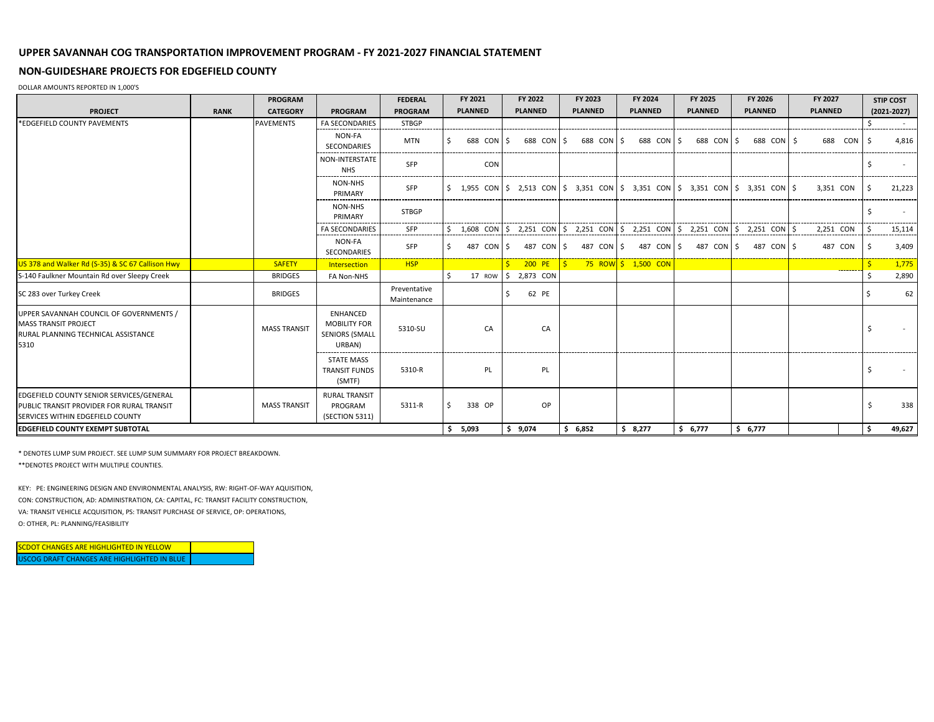## **NON-GUIDESHARE PROJECTS FOR EDGEFIELD COUNTY**

DOLLAR AMOUNTS REPORTED IN 1,000'S

|                                                                                                                                  |             | <b>PROGRAM</b>      |                                                                    | <b>FEDERAL</b>              | FY 2021        |     | FY 2022          | FY 2023        | FY 2024                                                                                                                                                       | FY 2025        | FY 2026        | FY 2027        | <b>STIP COST</b> |
|----------------------------------------------------------------------------------------------------------------------------------|-------------|---------------------|--------------------------------------------------------------------|-----------------------------|----------------|-----|------------------|----------------|---------------------------------------------------------------------------------------------------------------------------------------------------------------|----------------|----------------|----------------|------------------|
| <b>PROJECT</b>                                                                                                                   | <b>RANK</b> | <b>CATEGORY</b>     | <b>PROGRAM</b>                                                     | <b>PROGRAM</b>              | <b>PLANNED</b> |     | <b>PLANNED</b>   | <b>PLANNED</b> | <b>PLANNED</b>                                                                                                                                                | <b>PLANNED</b> | <b>PLANNED</b> | <b>PLANNED</b> | $(2021 - 2027)$  |
| *EDGEFIELD COUNTY PAVEMENTS                                                                                                      |             | <b>PAVEMENTS</b>    | <b>FA SECONDARIES</b>                                              | <b>STBGP</b>                |                |     |                  |                |                                                                                                                                                               |                |                |                | $\sim$ 10 $\pm$  |
|                                                                                                                                  |             |                     | NON-FA<br>SECONDARIES                                              | <b>MTN</b>                  | 688 CON \$     |     | 688 CON \$       | 688 CON        | 688 CON \$<br>-S                                                                                                                                              | 688 CON \$     | 688 CON \$     | 688 CON 5      | 4,816            |
|                                                                                                                                  |             |                     | NON-INTERSTATE<br><b>NHS</b>                                       | SFP                         |                | CON |                  |                |                                                                                                                                                               |                |                |                |                  |
|                                                                                                                                  |             |                     | NON-NHS<br>PRIMARY                                                 | SFP                         |                |     |                  |                | $\frac{1}{5}$ 1,955 CON $\frac{1}{5}$ 2,513 CON $\frac{1}{5}$ 3,351 CON $\frac{1}{5}$ 3,351 CON $\frac{1}{5}$ 3,351 CON $\frac{1}{5}$ 3,351 CON $\frac{1}{5}$ |                |                | 3.351 CON      | 21,223           |
|                                                                                                                                  |             |                     | NON-NHS<br>PRIMARY                                                 | <b>STBGP</b>                |                |     |                  |                |                                                                                                                                                               |                |                |                |                  |
|                                                                                                                                  |             |                     | <b>FA SECONDARIES</b>                                              | SFP                         |                |     |                  |                | 1,608 CON $\frac{1}{5}$ 2,251 CON $\frac{1}{5}$ 2,251 CON $\frac{1}{5}$ 2,251 CON $\frac{1}{5}$ 2,251 CON $\frac{1}{5}$ 2,251 CON $\frac{1}{5}$               |                |                | 2,251 CON      | 15,114           |
|                                                                                                                                  |             |                     | NON-FA<br><b>SECONDARIES</b>                                       | SFP                         | 487 CON        |     | 487 CON \$<br>-S |                | 487 CON \$ 487 CON \$                                                                                                                                         | 487 CON 5      | 487 CON 5      | 487 CON        | 3,409            |
| US 378 and Walker Rd (S-35) & SC 67 Callison Hwy                                                                                 |             | <b>SAFETY</b>       | Intersection                                                       | <b>HSP</b>                  |                |     | 200 PE           |                | <b>75 ROW \$ 1,500 CON</b>                                                                                                                                    |                |                | ------         | 1,775            |
| S-140 Faulkner Mountain Rd over Sleepy Creek                                                                                     |             | <b>BRIDGES</b>      | FA Non-NHS                                                         |                             | 17 ROW \$      |     | 2,873 CON        |                |                                                                                                                                                               |                |                |                | 2,890            |
| SC 283 over Turkey Creek                                                                                                         |             | <b>BRIDGES</b>      |                                                                    | Preventative<br>Maintenance |                |     | Ś.<br>62 PE      |                |                                                                                                                                                               |                |                |                | 62               |
| UPPER SAVANNAH COUNCIL OF GOVERNMENTS /<br><b>MASS TRANSIT PROJECT</b><br>RURAL PLANNING TECHNICAL ASSISTANCE<br>5310            |             | <b>MASS TRANSIT</b> | ENHANCED<br><b>MOBILITY FOR</b><br><b>SENIORS (SMALL</b><br>URBAN) | 5310-SU                     | CA             |     | CA               |                |                                                                                                                                                               |                |                |                |                  |
|                                                                                                                                  |             |                     | <b>STATE MASS</b><br><b>TRANSIT FUNDS</b><br>(SMTF)                | 5310-R                      | PL             |     | <b>PL</b>        |                |                                                                                                                                                               |                |                |                | $\sim$           |
| EDGEFIELD COUNTY SENIOR SERVICES/GENERAL<br><b>PUBLIC TRANSIT PROVIDER FOR RURAL TRANSIT</b><br>SERVICES WITHIN EDGEFIELD COUNTY |             | <b>MASS TRANSIT</b> | <b>RURAL TRANSIT</b><br>PROGRAM<br>(SECTION 5311)                  | 5311-R                      | 338 OP<br>S.   |     | OP.              |                |                                                                                                                                                               |                |                |                | 338              |
| <b>EDGEFIELD COUNTY EXEMPT SUBTOTAL</b>                                                                                          |             |                     |                                                                    |                             | \$5,093        |     | \$9,074          | \$6,852        | \$8,277                                                                                                                                                       | \$6,777        | \$6,777        |                | \$<br>49,627     |

\* DENOTES LUMP SUM PROJECT. SEE LUMP SUM SUMMARY FOR PROJECT BREAKDOWN. \*\*DENOTES PROJECT WITH MULTIPLE COUNTIES.

KEY: PE: ENGINEERING DESIGN AND ENVIRONMENTAL ANALYSIS, RW: RIGHT-OF-WAY AQUISITION, CON: CONSTRUCTION, AD: ADMINISTRATION, CA: CAPITAL, FC: TRANSIT FACILITY CONSTRUCTION, VA: TRANSIT VEHICLE ACQUISITION, PS: TRANSIT PURCHASE OF SERVICE, OP: OPERATIONS, O: OTHER, PL: PLANNING/FEASIBILITY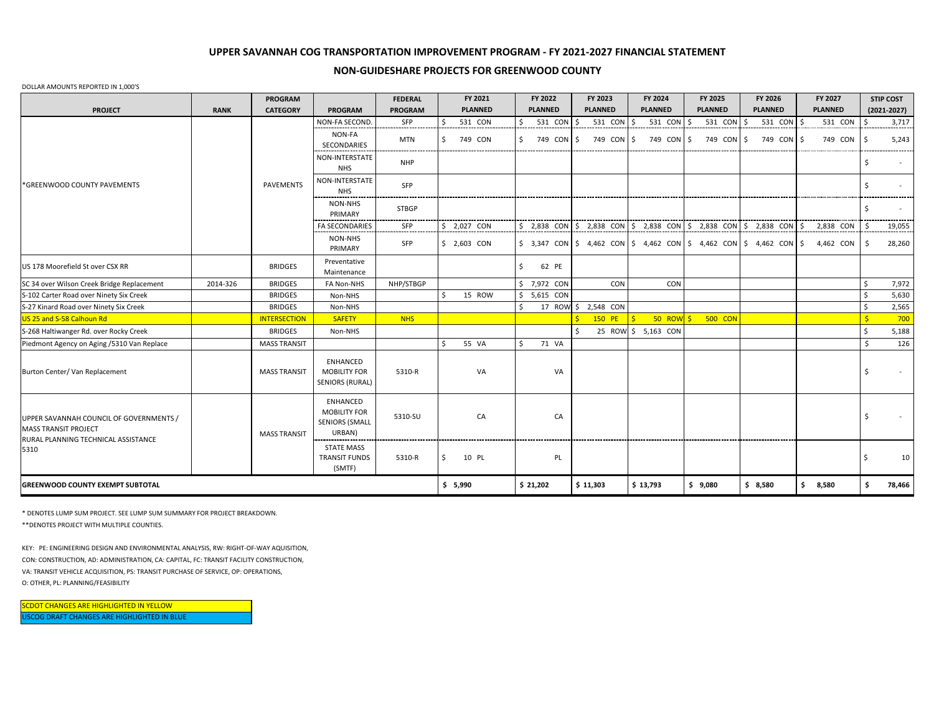## **NON-GUIDESHARE PROJECTS FOR GREENWOOD COUNTY**

#### DOLLAR AMOUNTS REPORTED IN 1,000'S

|                                                                                                                       |             | <b>PROGRAM</b>      |                                                                           | <b>FEDERAL</b> | FY 2021          | FY 2022          | FY 2023                                                                                                             | FY 2024             | FY 2025        | FY 2026        | FY 2027                 | <b>STIP COST</b> |
|-----------------------------------------------------------------------------------------------------------------------|-------------|---------------------|---------------------------------------------------------------------------|----------------|------------------|------------------|---------------------------------------------------------------------------------------------------------------------|---------------------|----------------|----------------|-------------------------|------------------|
| <b>PROJECT</b>                                                                                                        | <b>RANK</b> | <b>CATEGORY</b>     | <b>PROGRAM</b>                                                            | PROGRAM        | <b>PLANNED</b>   | <b>PLANNED</b>   | <b>PLANNED</b>                                                                                                      | <b>PLANNED</b>      | <b>PLANNED</b> | <b>PLANNED</b> | <b>PLANNED</b>          | $(2021 - 2027)$  |
|                                                                                                                       |             |                     | <b>NON-FA SECOND</b>                                                      | SFP            | Ś.<br>531 CON    | 531 CON<br>Ś.    | 531 CON                                                                                                             | 531 CON<br>Ś        | 531 CON<br>-S  | 531 CON        | $\mathsf{S}$<br>531 CON | 3,717            |
|                                                                                                                       |             |                     | NON-FA<br>SECONDARIES                                                     | <b>MTN</b>     | \$<br>749 CON    | 749 CON \$<br>S. | 749 CON \$                                                                                                          | 749 CON \$          | 749 CON \$     | 749 CON \$     | 749 CON                 | 5,243            |
|                                                                                                                       |             |                     | NON-INTERSTATE<br><b>NHS</b>                                              | <b>NHP</b>     |                  |                  |                                                                                                                     |                     |                |                |                         |                  |
| *GREENWOOD COUNTY PAVEMENTS                                                                                           |             | PAVEMENTS           | NON-INTERSTATE<br><b>NHS</b>                                              | SFP            |                  |                  |                                                                                                                     |                     |                |                |                         |                  |
|                                                                                                                       |             |                     | <b>NON-NHS</b><br>PRIMARY                                                 | <b>STBGP</b>   |                  |                  |                                                                                                                     |                     |                |                |                         |                  |
|                                                                                                                       |             |                     | <b>FA SECONDARIES</b>                                                     | SFP            | \$ 2,027 CON     | $$2,838$ CON     | $\frac{1}{2}$ , 2,838 CON $\frac{1}{2}$ , 2,838 CON $\frac{1}{2}$ , 2,838 CON $\frac{1}{2}$ , 2,838 CON             |                     |                |                | Ś<br>2,838 CON          | 19,055           |
|                                                                                                                       |             |                     | NON-NHS<br>PRIMARY                                                        | SFP            | $$2,603$ CON     |                  | $\vert$ \$ 3,347 CON $\vert$ \$ 4,462 CON $\vert$ \$ 4,462 CON $\vert$ \$ 4,462 CON $\vert$ \$ 4,462 CON $\vert$ \$ |                     |                |                | 4,462 CON               | 28,260<br>Ŝ      |
| US 178 Moorefield St over CSX RR                                                                                      |             | <b>BRIDGES</b>      | Preventative<br>Maintenance                                               |                |                  | \$<br>62 PE      |                                                                                                                     |                     |                |                |                         |                  |
| SC 34 over Wilson Creek Bridge Replacement                                                                            | 2014-326    | <b>BRIDGES</b>      | FA Non-NHS                                                                | NHP/STBGP      |                  | \$ 7,972 CON     | CON                                                                                                                 | CON                 |                |                |                         | 7,972            |
| S-102 Carter Road over Ninety Six Creek                                                                               |             | <b>BRIDGES</b>      | Non-NHS                                                                   |                | Ś.<br>15 ROW     | $$5,615$ CON     |                                                                                                                     |                     |                |                |                         | 5,630            |
| S-27 Kinard Road over Ninety Six Creek                                                                                |             | <b>BRIDGES</b>      | Non-NHS                                                                   |                |                  |                  | 17 ROW \$ 2,548 CON                                                                                                 |                     |                |                |                         | 2,565            |
| US 25 and S-58 Calhoun Rd                                                                                             |             | <b>INTERSECTION</b> | <b>SAFETY</b>                                                             | <b>NHS</b>     |                  |                  | 150 PE                                                                                                              | 50 ROW \$           | <b>500 CON</b> |                |                         | 700              |
| S-268 Haltiwanger Rd. over Rocky Creek                                                                                |             | <b>BRIDGES</b>      | Non-NHS                                                                   |                |                  |                  |                                                                                                                     | 25 ROW \$ 5,163 CON |                |                |                         | 5,188            |
| Piedmont Agency on Aging /5310 Van Replace                                                                            |             | <b>MASS TRANSIT</b> |                                                                           |                | 55 VA<br>$\zeta$ | Ŝ.<br>71 VA      |                                                                                                                     |                     |                |                |                         | 126              |
| Burton Center/Van Replacement                                                                                         |             | <b>MASS TRANSIT</b> | ENHANCED<br><b>MOBILITY FOR</b><br>SENIORS (RURAL)                        | 5310-R         | VA               | VA               |                                                                                                                     |                     |                |                |                         | -\$              |
| UPPER SAVANNAH COUNCIL OF GOVERNMENTS /<br><b>MASS TRANSIT PROJECT</b><br>RURAL PLANNING TECHNICAL ASSISTANCE<br>5310 |             | <b>MASS TRANSIT</b> | <b>ENHANCED</b><br><b>MOBILITY FOR</b><br><b>SENIORS (SMALL</b><br>URBAN) | 5310-SU        | CA               | CA               |                                                                                                                     |                     |                |                |                         | <b>S</b>         |
|                                                                                                                       |             |                     | <b>STATE MASS</b><br><b>TRANSIT FUNDS</b><br>(SMTF)                       | 5310-R         | \$<br>10 PL      | PL               |                                                                                                                     |                     |                |                |                         | 10               |
| <b>GREENWOOD COUNTY EXEMPT SUBTOTAL</b>                                                                               | \$5,990     | \$21,202            | \$11,303                                                                  | \$13,793       | \$9,080          | \$8,580          | \$3,580                                                                                                             | 78,466<br>\$.       |                |                |                         |                  |

\* DENOTES LUMP SUM PROJECT. SEE LUMP SUM SUMMARY FOR PROJECT BREAKDOWN.

\*\*DENOTES PROJECT WITH MULTIPLE COUNTIES.

KEY: PE: ENGINEERING DESIGN AND ENVIRONMENTAL ANALYSIS, RW: RIGHT-OF-WAY AQUISITION, CON: CONSTRUCTION, AD: ADMINISTRATION, CA: CAPITAL, FC: TRANSIT FACILITY CONSTRUCTION, VA: TRANSIT VEHICLE ACQUISITION, PS: TRANSIT PURCHASE OF SERVICE, OP: OPERATIONS, O: OTHER, PL: PLANNING/FEASIBILITY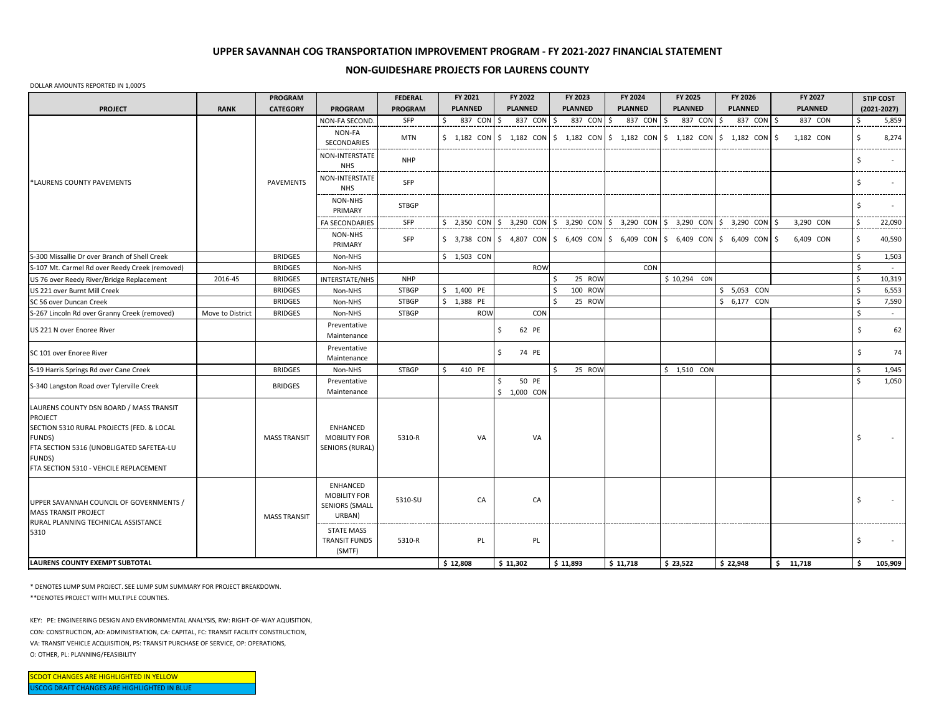### **NON-GUIDESHARE PROJECTS FOR LAURENS COUNTY**

#### DOLLAR AMOUNTS REPORTED IN 1,000'S

| <b>PLANNED</b><br><b>PLANNED</b><br><b>PLANNED</b><br><b>PLANNED</b><br><b>PLANNED</b><br><b>PLANNED</b><br><b>PLANNED</b><br><b>CATEGORY</b><br><b>PROGRAM</b><br><b>PROGRAM</b><br><b>PROJECT</b><br><b>RANK</b><br>$(2021 - 2027)$<br>NON-FA SECOND<br>SFP<br>\$<br>837 CON<br>837 CON<br>837 CON<br>837 CON<br>837 CON<br>l \$<br>837 CON<br>837 CON<br>\$<br>5,859<br>S.<br>I\$<br>\$<br>Ŝ.<br>-Ś<br>NON-FA<br><b>MTN</b><br>$\frac{1}{2}$ 1,182 CON $\frac{1}{2}$ 1,182 CON $\frac{1}{2}$ 1,182 CON $\frac{1}{2}$ 1,182 CON $\frac{1}{2}$ 1,182 CON $\frac{1}{2}$ 1,182 CON<br>$\frac{1}{2}$<br>8,274<br>l \$<br>1,182 CON<br>SECONDARIES<br>NON-INTERSTATE<br><b>NHP</b><br>$\ddot{\mathsf{S}}$<br><b>NHS</b><br>NON-INTERSTATE<br>*LAURENS COUNTY PAVEMENTS<br><b>PAVEMENTS</b><br>SFP<br>-\$<br><b>NHS</b><br>NON-NHS<br>Ŝ.<br><b>STBGP</b><br>PRIMARY<br>\$ 2,350 CON $\frac{1}{5}$ 3,290 CON $\frac{1}{5}$ 3,290 CON $\frac{1}{5}$ 3,290 CON $\frac{1}{5}$ 3,290 CON $\frac{1}{5}$ 3,290 CON $\frac{1}{5}$<br>3,290 CON<br>\$<br>SFP<br>22,090<br><b>FA SECONDARIES</b><br>NON-NHS<br>SFP<br>$\frac{1}{2}$ 3,738 CON $\frac{1}{2}$ 4,807 CON $\frac{1}{2}$ 6,409 CON $\frac{1}{2}$ 6,409 CON $\frac{1}{2}$ 6,409 CON $\frac{1}{2}$ 6,409 CON<br>6,409 CON<br>\$<br>40,590<br>l\$<br>PRIMARY<br><b>BRIDGES</b><br>$$1,503$ CON<br>$\frac{1}{2}$<br>1,503<br>Non-NHS<br><b>ROW</b><br>CON<br>\$<br><b>BRIDGES</b><br>Non-NHS<br>$\sim 10^{-1}$<br>2016-45<br><b>BRIDGES</b><br>25 ROW<br>$$10,294$ CON<br>$\ddot{\mathsf{S}}$<br>10,319<br>INTERSTATE/NHS<br><b>NHP</b><br>US 76 over Reedy River/Bridge Replacement<br>$\ddot{\mathsf{S}}$<br>6,553<br><b>BRIDGES</b><br><b>STBGP</b><br>$$1,400$ PE<br>100 ROW<br>$$5,053$ CON<br>US 221 over Burnt Mill Creek<br>Non-NHS<br><b>BRIDGES</b><br><b>STBGP</b><br>\$ 1,388 PE<br>25 ROW<br>$\frac{1}{2}$<br>7,590<br>\$ 6,177 CON<br>Non-NHS<br>SC 56 over Duncan Creek<br>$\mathsf{\hat{S}}$<br><b>BRIDGES</b><br><b>STBGP</b><br><b>ROW</b><br>CON<br>Move to District<br>S-267 Lincoln Rd over Granny Creek (removed)<br>Non-NHS<br>$\sim$<br>Preventative<br>62 PE<br>\$<br>62<br>Ŝ.<br>US 221 N over Enoree River<br>Maintenance<br>Preventative<br>74 PE<br>\$<br>74<br>\$<br>SC 101 over Enoree River<br>Maintenance<br>\$<br>25 ROW<br><b>BRIDGES</b><br><b>STBGP</b><br>$$1,510$ CON<br><sub>S</sub><br>1,945<br>410 PE<br>ς.<br>S-19 Harris Springs Rd over Cane Creek<br>Non-NHS<br>Ŝ.<br>50 PE<br>-Ś<br>1,050<br>Preventative<br><b>BRIDGES</b><br>Maintenance<br>$$1,000$ CON<br>LAURENS COUNTY DSN BOARD / MASS TRANSIT<br><b>PROJECT</b><br>SECTION 5310 RURAL PROJECTS (FED. & LOCAL<br>ENHANCED<br><b>MASS TRANSIT</b><br>5310-R<br>VA<br><b>MOBILITY FOR</b><br>VA<br>-Ŝ<br>FUNDS)<br>FTA SECTION 5316 (UNOBLIGATED SAFETEA-LU<br><b>SENIORS (RURAL)</b><br>FUNDS)<br>FTA SECTION 5310 - VEHCILE REPLACEMENT<br>ENHANCED<br><b>MOBILITY FOR</b><br>5310-SU<br>CA<br>CA<br><sup>5</sup><br>UPPER SAVANNAH COUNCIL OF GOVERNMENTS /<br><b>SENIORS (SMALL</b><br>URBAN)<br><b>MASS TRANSIT</b><br>RURAL PLANNING TECHNICAL ASSISTANCE<br><b>STATE MASS</b><br>5310<br>PL<br>5310-R<br>PL<br>-\$<br><b>TRANSIT FUNDS</b><br>(SMTF)<br>\$12,808<br>\$11,302<br>\$11,893<br>\$11,718<br>\$23,522<br>\$22,948<br>\$11,718<br>\$<br>105,909 |                                                |  | <b>PROGRAM</b> | <b>FEDERAL</b> | FY 2021 | FY 2022 | FY 2023 | FY 2024 | FY 2025 | FY 2026 | FY 2027 | <b>STIP COST</b> |
|---------------------------------------------------------------------------------------------------------------------------------------------------------------------------------------------------------------------------------------------------------------------------------------------------------------------------------------------------------------------------------------------------------------------------------------------------------------------------------------------------------------------------------------------------------------------------------------------------------------------------------------------------------------------------------------------------------------------------------------------------------------------------------------------------------------------------------------------------------------------------------------------------------------------------------------------------------------------------------------------------------------------------------------------------------------------------------------------------------------------------------------------------------------------------------------------------------------------------------------------------------------------------------------------------------------------------------------------------------------------------------------------------------------------------------------------------------------------------------------------------------------------------------------------------------------------------------------------------------------------------------------------------------------------------------------------------------------------------------------------------------------------------------------------------------------------------------------------------------------------------------------------------------------------------------------------------------------------------------------------------------------------------------------------------------------------------------------------------------------------------------------------------------------------------------------------------------------------------------------------------------------------------------------------------------------------------------------------------------------------------------------------------------------------------------------------------------------------------------------------------------------------------------------------------------------------------------------------------------------------------------------------------------------------------------------------------------------------------------------------------------------------------------------------------------------------------------------------------------------------------------------------------------------------------------------------------------------------------------------------------------------------------------------------------------------------------------------------------------------------------------------------------------------------------------------------------------------------------------------------------------------------------------------------------------------|------------------------------------------------|--|----------------|----------------|---------|---------|---------|---------|---------|---------|---------|------------------|
|                                                                                                                                                                                                                                                                                                                                                                                                                                                                                                                                                                                                                                                                                                                                                                                                                                                                                                                                                                                                                                                                                                                                                                                                                                                                                                                                                                                                                                                                                                                                                                                                                                                                                                                                                                                                                                                                                                                                                                                                                                                                                                                                                                                                                                                                                                                                                                                                                                                                                                                                                                                                                                                                                                                                                                                                                                                                                                                                                                                                                                                                                                                                                                                                                                                                                                               |                                                |  |                |                |         |         |         |         |         |         |         |                  |
|                                                                                                                                                                                                                                                                                                                                                                                                                                                                                                                                                                                                                                                                                                                                                                                                                                                                                                                                                                                                                                                                                                                                                                                                                                                                                                                                                                                                                                                                                                                                                                                                                                                                                                                                                                                                                                                                                                                                                                                                                                                                                                                                                                                                                                                                                                                                                                                                                                                                                                                                                                                                                                                                                                                                                                                                                                                                                                                                                                                                                                                                                                                                                                                                                                                                                                               |                                                |  |                |                |         |         |         |         |         |         |         |                  |
|                                                                                                                                                                                                                                                                                                                                                                                                                                                                                                                                                                                                                                                                                                                                                                                                                                                                                                                                                                                                                                                                                                                                                                                                                                                                                                                                                                                                                                                                                                                                                                                                                                                                                                                                                                                                                                                                                                                                                                                                                                                                                                                                                                                                                                                                                                                                                                                                                                                                                                                                                                                                                                                                                                                                                                                                                                                                                                                                                                                                                                                                                                                                                                                                                                                                                                               |                                                |  |                |                |         |         |         |         |         |         |         |                  |
|                                                                                                                                                                                                                                                                                                                                                                                                                                                                                                                                                                                                                                                                                                                                                                                                                                                                                                                                                                                                                                                                                                                                                                                                                                                                                                                                                                                                                                                                                                                                                                                                                                                                                                                                                                                                                                                                                                                                                                                                                                                                                                                                                                                                                                                                                                                                                                                                                                                                                                                                                                                                                                                                                                                                                                                                                                                                                                                                                                                                                                                                                                                                                                                                                                                                                                               |                                                |  |                |                |         |         |         |         |         |         |         |                  |
|                                                                                                                                                                                                                                                                                                                                                                                                                                                                                                                                                                                                                                                                                                                                                                                                                                                                                                                                                                                                                                                                                                                                                                                                                                                                                                                                                                                                                                                                                                                                                                                                                                                                                                                                                                                                                                                                                                                                                                                                                                                                                                                                                                                                                                                                                                                                                                                                                                                                                                                                                                                                                                                                                                                                                                                                                                                                                                                                                                                                                                                                                                                                                                                                                                                                                                               |                                                |  |                |                |         |         |         |         |         |         |         |                  |
|                                                                                                                                                                                                                                                                                                                                                                                                                                                                                                                                                                                                                                                                                                                                                                                                                                                                                                                                                                                                                                                                                                                                                                                                                                                                                                                                                                                                                                                                                                                                                                                                                                                                                                                                                                                                                                                                                                                                                                                                                                                                                                                                                                                                                                                                                                                                                                                                                                                                                                                                                                                                                                                                                                                                                                                                                                                                                                                                                                                                                                                                                                                                                                                                                                                                                                               |                                                |  |                |                |         |         |         |         |         |         |         |                  |
|                                                                                                                                                                                                                                                                                                                                                                                                                                                                                                                                                                                                                                                                                                                                                                                                                                                                                                                                                                                                                                                                                                                                                                                                                                                                                                                                                                                                                                                                                                                                                                                                                                                                                                                                                                                                                                                                                                                                                                                                                                                                                                                                                                                                                                                                                                                                                                                                                                                                                                                                                                                                                                                                                                                                                                                                                                                                                                                                                                                                                                                                                                                                                                                                                                                                                                               |                                                |  |                |                |         |         |         |         |         |         |         |                  |
|                                                                                                                                                                                                                                                                                                                                                                                                                                                                                                                                                                                                                                                                                                                                                                                                                                                                                                                                                                                                                                                                                                                                                                                                                                                                                                                                                                                                                                                                                                                                                                                                                                                                                                                                                                                                                                                                                                                                                                                                                                                                                                                                                                                                                                                                                                                                                                                                                                                                                                                                                                                                                                                                                                                                                                                                                                                                                                                                                                                                                                                                                                                                                                                                                                                                                                               |                                                |  |                |                |         |         |         |         |         |         |         |                  |
|                                                                                                                                                                                                                                                                                                                                                                                                                                                                                                                                                                                                                                                                                                                                                                                                                                                                                                                                                                                                                                                                                                                                                                                                                                                                                                                                                                                                                                                                                                                                                                                                                                                                                                                                                                                                                                                                                                                                                                                                                                                                                                                                                                                                                                                                                                                                                                                                                                                                                                                                                                                                                                                                                                                                                                                                                                                                                                                                                                                                                                                                                                                                                                                                                                                                                                               | S-300 Missallie Dr over Branch of Shell Creek  |  |                |                |         |         |         |         |         |         |         |                  |
|                                                                                                                                                                                                                                                                                                                                                                                                                                                                                                                                                                                                                                                                                                                                                                                                                                                                                                                                                                                                                                                                                                                                                                                                                                                                                                                                                                                                                                                                                                                                                                                                                                                                                                                                                                                                                                                                                                                                                                                                                                                                                                                                                                                                                                                                                                                                                                                                                                                                                                                                                                                                                                                                                                                                                                                                                                                                                                                                                                                                                                                                                                                                                                                                                                                                                                               | S-107 Mt. Carmel Rd over Reedy Creek (removed) |  |                |                |         |         |         |         |         |         |         |                  |
|                                                                                                                                                                                                                                                                                                                                                                                                                                                                                                                                                                                                                                                                                                                                                                                                                                                                                                                                                                                                                                                                                                                                                                                                                                                                                                                                                                                                                                                                                                                                                                                                                                                                                                                                                                                                                                                                                                                                                                                                                                                                                                                                                                                                                                                                                                                                                                                                                                                                                                                                                                                                                                                                                                                                                                                                                                                                                                                                                                                                                                                                                                                                                                                                                                                                                                               |                                                |  |                |                |         |         |         |         |         |         |         |                  |
|                                                                                                                                                                                                                                                                                                                                                                                                                                                                                                                                                                                                                                                                                                                                                                                                                                                                                                                                                                                                                                                                                                                                                                                                                                                                                                                                                                                                                                                                                                                                                                                                                                                                                                                                                                                                                                                                                                                                                                                                                                                                                                                                                                                                                                                                                                                                                                                                                                                                                                                                                                                                                                                                                                                                                                                                                                                                                                                                                                                                                                                                                                                                                                                                                                                                                                               |                                                |  |                |                |         |         |         |         |         |         |         |                  |
|                                                                                                                                                                                                                                                                                                                                                                                                                                                                                                                                                                                                                                                                                                                                                                                                                                                                                                                                                                                                                                                                                                                                                                                                                                                                                                                                                                                                                                                                                                                                                                                                                                                                                                                                                                                                                                                                                                                                                                                                                                                                                                                                                                                                                                                                                                                                                                                                                                                                                                                                                                                                                                                                                                                                                                                                                                                                                                                                                                                                                                                                                                                                                                                                                                                                                                               |                                                |  |                |                |         |         |         |         |         |         |         |                  |
|                                                                                                                                                                                                                                                                                                                                                                                                                                                                                                                                                                                                                                                                                                                                                                                                                                                                                                                                                                                                                                                                                                                                                                                                                                                                                                                                                                                                                                                                                                                                                                                                                                                                                                                                                                                                                                                                                                                                                                                                                                                                                                                                                                                                                                                                                                                                                                                                                                                                                                                                                                                                                                                                                                                                                                                                                                                                                                                                                                                                                                                                                                                                                                                                                                                                                                               |                                                |  |                |                |         |         |         |         |         |         |         |                  |
|                                                                                                                                                                                                                                                                                                                                                                                                                                                                                                                                                                                                                                                                                                                                                                                                                                                                                                                                                                                                                                                                                                                                                                                                                                                                                                                                                                                                                                                                                                                                                                                                                                                                                                                                                                                                                                                                                                                                                                                                                                                                                                                                                                                                                                                                                                                                                                                                                                                                                                                                                                                                                                                                                                                                                                                                                                                                                                                                                                                                                                                                                                                                                                                                                                                                                                               |                                                |  |                |                |         |         |         |         |         |         |         |                  |
|                                                                                                                                                                                                                                                                                                                                                                                                                                                                                                                                                                                                                                                                                                                                                                                                                                                                                                                                                                                                                                                                                                                                                                                                                                                                                                                                                                                                                                                                                                                                                                                                                                                                                                                                                                                                                                                                                                                                                                                                                                                                                                                                                                                                                                                                                                                                                                                                                                                                                                                                                                                                                                                                                                                                                                                                                                                                                                                                                                                                                                                                                                                                                                                                                                                                                                               |                                                |  |                |                |         |         |         |         |         |         |         |                  |
|                                                                                                                                                                                                                                                                                                                                                                                                                                                                                                                                                                                                                                                                                                                                                                                                                                                                                                                                                                                                                                                                                                                                                                                                                                                                                                                                                                                                                                                                                                                                                                                                                                                                                                                                                                                                                                                                                                                                                                                                                                                                                                                                                                                                                                                                                                                                                                                                                                                                                                                                                                                                                                                                                                                                                                                                                                                                                                                                                                                                                                                                                                                                                                                                                                                                                                               |                                                |  |                |                |         |         |         |         |         |         |         |                  |
|                                                                                                                                                                                                                                                                                                                                                                                                                                                                                                                                                                                                                                                                                                                                                                                                                                                                                                                                                                                                                                                                                                                                                                                                                                                                                                                                                                                                                                                                                                                                                                                                                                                                                                                                                                                                                                                                                                                                                                                                                                                                                                                                                                                                                                                                                                                                                                                                                                                                                                                                                                                                                                                                                                                                                                                                                                                                                                                                                                                                                                                                                                                                                                                                                                                                                                               | S-340 Langston Road over Tylerville Creek      |  |                |                |         |         |         |         |         |         |         |                  |
|                                                                                                                                                                                                                                                                                                                                                                                                                                                                                                                                                                                                                                                                                                                                                                                                                                                                                                                                                                                                                                                                                                                                                                                                                                                                                                                                                                                                                                                                                                                                                                                                                                                                                                                                                                                                                                                                                                                                                                                                                                                                                                                                                                                                                                                                                                                                                                                                                                                                                                                                                                                                                                                                                                                                                                                                                                                                                                                                                                                                                                                                                                                                                                                                                                                                                                               |                                                |  |                |                |         |         |         |         |         |         |         |                  |
|                                                                                                                                                                                                                                                                                                                                                                                                                                                                                                                                                                                                                                                                                                                                                                                                                                                                                                                                                                                                                                                                                                                                                                                                                                                                                                                                                                                                                                                                                                                                                                                                                                                                                                                                                                                                                                                                                                                                                                                                                                                                                                                                                                                                                                                                                                                                                                                                                                                                                                                                                                                                                                                                                                                                                                                                                                                                                                                                                                                                                                                                                                                                                                                                                                                                                                               | <b>MASS TRANSIT PROJECT</b>                    |  |                |                |         |         |         |         |         |         |         |                  |
|                                                                                                                                                                                                                                                                                                                                                                                                                                                                                                                                                                                                                                                                                                                                                                                                                                                                                                                                                                                                                                                                                                                                                                                                                                                                                                                                                                                                                                                                                                                                                                                                                                                                                                                                                                                                                                                                                                                                                                                                                                                                                                                                                                                                                                                                                                                                                                                                                                                                                                                                                                                                                                                                                                                                                                                                                                                                                                                                                                                                                                                                                                                                                                                                                                                                                                               |                                                |  |                |                |         |         |         |         |         |         |         |                  |
|                                                                                                                                                                                                                                                                                                                                                                                                                                                                                                                                                                                                                                                                                                                                                                                                                                                                                                                                                                                                                                                                                                                                                                                                                                                                                                                                                                                                                                                                                                                                                                                                                                                                                                                                                                                                                                                                                                                                                                                                                                                                                                                                                                                                                                                                                                                                                                                                                                                                                                                                                                                                                                                                                                                                                                                                                                                                                                                                                                                                                                                                                                                                                                                                                                                                                                               | LAURENS COUNTY EXEMPT SUBTOTAL                 |  |                |                |         |         |         |         |         |         |         |                  |

\* DENOTES LUMP SUM PROJECT. SEE LUMP SUM SUMMARY FOR PROJECT BREAKDOWN.

\*\*DENOTES PROJECT WITH MULTIPLE COUNTIES.

KEY: PE: ENGINEERING DESIGN AND ENVIRONMENTAL ANALYSIS, RW: RIGHT-OF-WAY AQUISITION, CON: CONSTRUCTION, AD: ADMINISTRATION, CA: CAPITAL, FC: TRANSIT FACILITY CONSTRUCTION, VA: TRANSIT VEHICLE ACQUISITION, PS: TRANSIT PURCHASE OF SERVICE, OP: OPERATIONS, O: OTHER, PL: PLANNING/FEASIBILITY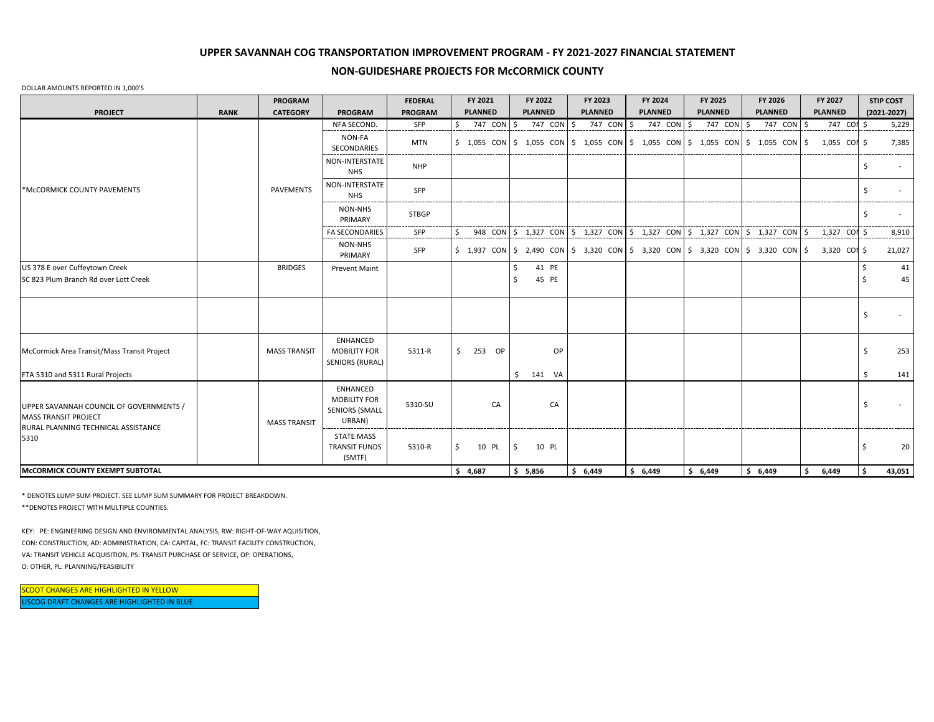## **NON-GUIDESHARE PROJECTS FOR McCORMICK COUNTY**

#### DOLLAR AMOUNTS REPORTED IN 1,000'S

|                                                                                                                       |             | <b>PROGRAM</b>      |                                                                           | <b>FEDERAL</b>            | FY 2021                | FY 2022        | FY 2023                                                                                                                                                   | FY 2024        | FY 2025          | FY 2026        | FY 2027        | <b>STIP COST</b> |
|-----------------------------------------------------------------------------------------------------------------------|-------------|---------------------|---------------------------------------------------------------------------|---------------------------|------------------------|----------------|-----------------------------------------------------------------------------------------------------------------------------------------------------------|----------------|------------------|----------------|----------------|------------------|
| <b>PROJECT</b>                                                                                                        | <b>RANK</b> | <b>CATEGORY</b>     | <b>PROGRAM</b>                                                            | PROGRAM                   | <b>PLANNED</b>         | <b>PLANNED</b> | <b>PLANNED</b>                                                                                                                                            | <b>PLANNED</b> | <b>PLANNED</b>   | <b>PLANNED</b> | <b>PLANNED</b> | $(2021 - 2027)$  |
|                                                                                                                       |             |                     | NFA SECOND.                                                               | SFP                       | 747 CON                | Ŝ.<br>747 CON  | 747 CON \$<br>ς.                                                                                                                                          | 747 CON        | 747 CON \$<br>ς. | 747 CON        | 747 COM        | 5,229            |
|                                                                                                                       |             |                     | NON-FA<br><b>SECONDARIES</b>                                              | <b>MTN</b>                |                        |                | \$ 1,055 CON \$ 1,055 CON \$ 1,055 CON \$ 1,055 CON \$ 1,055 CON \$ 1,055 CON \$ 1,055 CON \$                                                             |                |                  |                |                | 7,385            |
|                                                                                                                       |             |                     | NON-INTERSTATE<br><b>NHS</b>                                              | <b>NHP</b>                |                        |                |                                                                                                                                                           |                |                  |                |                |                  |
| *McCORMICK COUNTY PAVEMENTS                                                                                           |             | <b>PAVEMENTS</b>    | NON-INTERSTATE<br><b>NHS</b>                                              | SFP                       |                        |                |                                                                                                                                                           |                |                  |                |                |                  |
|                                                                                                                       |             |                     | NON-NHS<br>PRIMARY                                                        | <b>STBGP</b><br>--------- |                        |                |                                                                                                                                                           |                |                  |                |                |                  |
|                                                                                                                       |             |                     | <b>FA SECONDARIES</b>                                                     | SFP                       |                        |                | $948$ CON $\frac{2}{3}$ 1,327 CON $\frac{2}{3}$ 1,327 CON $\frac{2}{3}$ 1,327 CON $\frac{2}{3}$ 1,327 CON $\frac{2}{3}$ 1,327 CON $\frac{2}{3}$ 1,327 CON |                |                  |                |                | 8,910            |
|                                                                                                                       |             |                     | <b>NON-NHS</b><br>PRIMARY                                                 | SFP                       |                        |                | \$ 1,937 CON \$ 2,490 CON \$ 3,320 CON \$ 3,320 CON \$ 3,320 CON \$ 3,320 CON \$ 3,320 CON \$                                                             |                |                  |                |                | 21,027           |
| US 378 E over Cuffeytown Creek                                                                                        |             | <b>BRIDGES</b>      | <b>Prevent Maint</b>                                                      |                           |                        | 41 PE          |                                                                                                                                                           |                |                  |                |                | 41               |
| SC 823 Plum Branch Rd over Lott Creek                                                                                 |             |                     |                                                                           |                           |                        | 45 PE          |                                                                                                                                                           |                |                  |                |                | 45               |
|                                                                                                                       |             |                     |                                                                           |                           |                        |                |                                                                                                                                                           |                |                  |                |                |                  |
| McCormick Area Transit/Mass Transit Project                                                                           |             | <b>MASS TRANSIT</b> | ENHANCED<br><b>MOBILITY FOR</b><br><b>SENIORS (RURAL)</b>                 | 5311-R                    | $$253$ OP              | <b>OP</b>      |                                                                                                                                                           |                |                  |                |                | 253              |
| FTA 5310 and 5311 Rural Projects                                                                                      |             |                     |                                                                           |                           |                        | Ŝ.<br>141 VA   |                                                                                                                                                           |                |                  |                |                | 141              |
| UPPER SAVANNAH COUNCIL OF GOVERNMENTS /<br><b>MASS TRANSIT PROJECT</b><br>RURAL PLANNING TECHNICAL ASSISTANCE<br>5310 |             | <b>MASS TRANSIT</b> | <b>ENHANCED</b><br><b>MOBILITY FOR</b><br><b>SENIORS (SMALL</b><br>URBAN) | 5310-SU                   | CA                     | CA             |                                                                                                                                                           |                |                  |                |                | Ŝ.               |
|                                                                                                                       |             |                     | <b>STATE MASS</b><br><b>TRANSIT FUNDS</b><br>(SMTF)                       | 5310-R                    | Ŝ.<br>10 PL<br>\$4,687 | 10 PL<br>S.    |                                                                                                                                                           |                |                  |                |                | 20               |
| McCORMICK COUNTY EXEMPT SUBTOTAL                                                                                      |             |                     |                                                                           |                           |                        | \$5,856        | \$6,449                                                                                                                                                   | \$6,449        | \$6,449          | \$6,449        | \$<br>6,449    | 43,051<br>- Ś    |

\* DENOTES LUMP SUM PROJECT. SEE LUMP SUM SUMMARY FOR PROJECT BREAKDOWN.

\*\*DENOTES PROJECT WITH MULTIPLE COUNTIES.

KEY: PE: ENGINEERING DESIGN AND ENVIRONMENTAL ANALYSIS, RW: RIGHT-OF-WAY AQUISITION, CON: CONSTRUCTION, AD: ADMINISTRATION, CA: CAPITAL, FC: TRANSIT FACILITY CONSTRUCTION, VA: TRANSIT VEHICLE ACQUISITION, PS: TRANSIT PURCHASE OF SERVICE, OP: OPERATIONS, O: OTHER, PL: PLANNING/FEASIBILITY

USCOG DRAFT CHANGES ARE HIGHLIGHTED IN BLUE SCDOT CHANGES ARE HIGHLIGHTED IN YELLOW